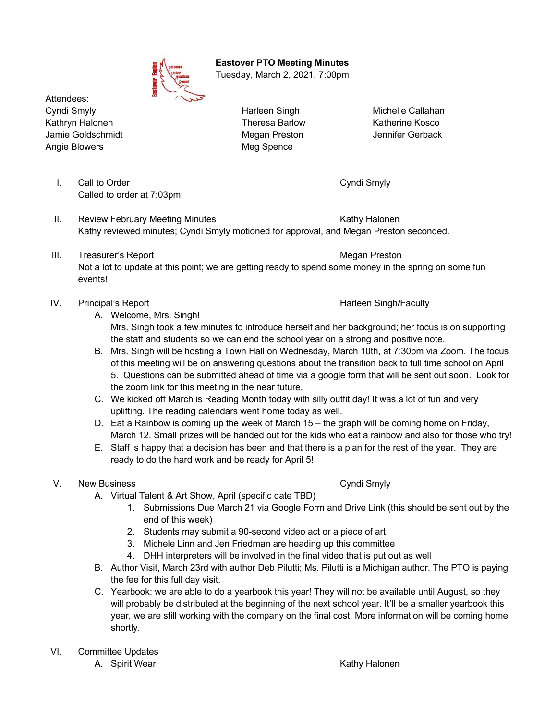

 **Eastover PTO Meeting Minutes** Tuesday, March 2, 2021, 7:00pm

Attendees: Cyndi Smyly Harleen Singh Michelle Callahan Kathryn Halonen Theresa Barlow Theresa Barlow Katherine Kosco Jamie Goldschmidt Megan Preston Jennifer Gerback Angie Blowers **Meg Spence** Meg Spence

I. Call to Order Cyndi Smyly Called to order at 7:03pm

- II. Review February Meeting Minutes **Kathy Halonen** Kathy Halonen Kathy reviewed minutes; Cyndi Smyly motioned for approval, and Megan Preston seconded.
- III. Treasurer's Report **Megan Preston** Megan Preston Not a lot to update at this point; we are getting ready to spend some money in the spring on some fun events!
- IV. Principal's Report **Harleen Singh/Faculty** Harleen Singh/Faculty
	-
	- A. Welcome, Mrs. Singh! Mrs. Singh took a few minutes to introduce herself and her background; her focus is on supporting the staff and students so we can end the school year on a strong and positive note.
	- B. Mrs. Singh will be hosting a Town Hall on Wednesday, March 10th, at 7:30pm via Zoom. The focus of this meeting will be on answering questions about the transition back to full time school on April 5. Questions can be submitted ahead of time via a google form that will be sent out soon. Look for the zoom link for this meeting in the near future.
	- C. We kicked off March is Reading Month today with silly outfit day! It was a lot of fun and very uplifting. The reading calendars went home today as well.
	- D. Eat a Rainbow is coming up the week of March 15 the graph will be coming home on Friday, March 12. Small prizes will be handed out for the kids who eat a rainbow and also for those who try!
	- E. Staff is happy that a decision has been and that there is a plan for the rest of the year. They are ready to do the hard work and be ready for April 5!

# V. New Business **Cyndi Smyly**

- A. Virtual Talent & Art Show, April (specific date TBD)
	- 1. Submissions Due March 21 via Google Form and Drive Link (this should be sent out by the end of this week)
	- 2. Students may submit a 90-second video act or a piece of art
	- 3. Michele Linn and Jen Friedman are heading up this committee
	- 4. DHH interpreters will be involved in the final video that is put out as well
- B. Author Visit, March 23rd with author Deb Pilutti; Ms. Pilutti is a Michigan author. The PTO is paying the fee for this full day visit.
- C. Yearbook: we are able to do a yearbook this year! They will not be available until August, so they will probably be distributed at the beginning of the next school year. It'll be a smaller yearbook this year, we are still working with the company on the final cost. More information will be coming home shortly.
- VI. Committee Updates